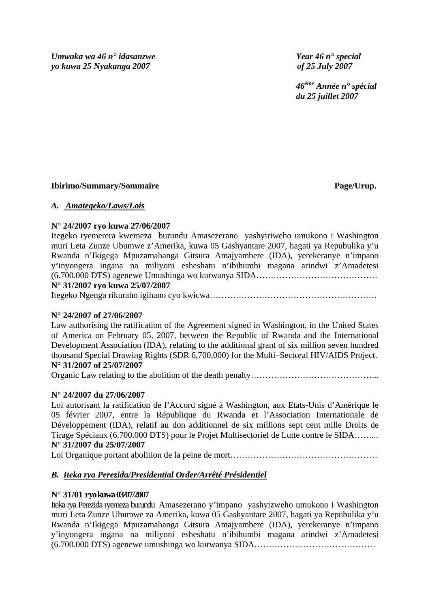*Umwaka wa 46 n° idasanzwe Year 46 n° special yo kuwa 25 Nyakanga 2007 of 25 July 2007* 

 *46ème Année n° spécial du 25 juillet 2007* 

# **Ibirimo/Summary/Sommaire Page/Urup.**

# *A. Amategeko/Laws/Lois*

# **N° 24/2007 ryo kuwa 27/06/2007**

Itegeko ryemerera kwemeza burundu Amasezerano yashyiriweho umukono i Washington muri Leta Zunze Ubumwe z'Amerika, kuwa 05 Gashyantare 2007, hagati ya Repubulika y'u Rwanda n'Ikigega Mpuzamahanga Gitsura Amajyambere (IDA), yerekeranye n'impano y'inyongera ingana na miliyoni esheshatu n'ibihumbi magana arindwi z'Amadetesi (6.700.000 DTS) agenewe Umushinga wo kurwanya SIDA……………………………………

# **N° 31/2007 ryo kuwa 25/07/2007**

Itegeko Ngenga rikuraho igihano cyo kwicwa………………………………………………….

# **N° 24/2007 of 27/06/2007**

Law authorising the ratification of the Agreement signed in Washington, in the United States of America on February 05, 2007, between the Republic of Rwanda and the International Development Association (IDA), relating to the additional grant of six million seven hundred thousand Special Drawing Rights (SDR 6,700,000) for the Multi–Sectoral HIV/AIDS Project. **N° 31/2007 of 25/07/2007** 

Organic Law relating to the abolition of the death penalty……………………………………………………………

# **N° 24/2007 du 27/06/2007**

Loi autorisant la ratification de l'Accord signé à Washington, aux Etats-Unis d'Amérique le 05 février 2007, entre la République du Rwanda et l'Association Internationale de Développement (IDA), relatif au don additionnel de six millions sept cent mille Droits de Tirage Spéciaux (6.700.000 DTS) pour le Projet Multisectoriel de Lutte contre le SIDA……... **N° 31/2007 du 25/07/2007** 

Loi Organique portant abolition de la peine de mort………………………………………………………………………………

# *B. Iteka rya Perezida/Presidential Order/Arrêté Présidentiel*

# **N° 31/01 ryo kuwa 03/07/2007**

Iteka rya Perezida ryemeza burundu Amasezerano y'impano yashyizweho umukono i Washington muri Leta Zunze Ubumwe za Amerika, kuwa 05 Gashyantare 2007, hagati ya Repubulika y'u Rwanda n'Ikigega Mpuzamahanga Gitsura Amajyambere (IDA), yerekeranye n'impano y'inyongera ingana na miliyoni esheshatu n'ibihumbi magana arindwi z'Amadetesi (6.700.000 DTS) agenewe umushinga wo kurwanya SIDA……………………………………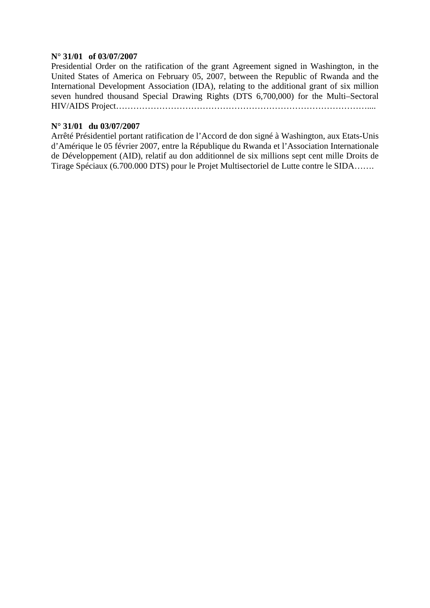# **N° 31/01 of 03/07/2007**

Presidential Order on the ratification of the grant Agreement signed in Washington, in the United States of America on February 05, 2007, between the Republic of Rwanda and the International Development Association (IDA), relating to the additional grant of six million seven hundred thousand Special Drawing Rights (DTS 6,700,000) for the Multi–Sectoral HIV/AIDS Project……………………………………………………………………………....

# **N° 31/01 du 03/07/2007**

Arrêté Présidentiel portant ratification de l'Accord de don signé à Washington, aux Etats-Unis d'Amérique le 05 février 2007, entre la République du Rwanda et l'Association Internationale de Développement (AID), relatif au don additionnel de six millions sept cent mille Droits de Tirage Spéciaux (6.700.000 DTS) pour le Projet Multisectoriel de Lutte contre le SIDA…….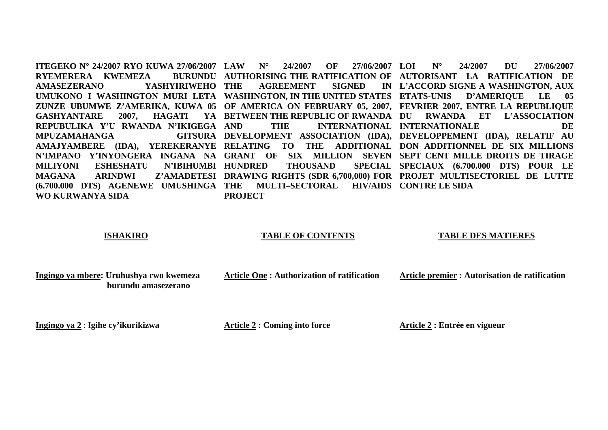**ITEGEKO N° 24/2007 RYO KUWA 27/06/2007 LAW N° 24/2007 OF 27/06/2007 RYEMERERA KWEMEZA AMASEZERANO YASHYIRIWEHO UMUKONO I WASHINGTON MURI LETA WASHINGTON, IN THE UNITED STATES ETATS-UNIS D'AMERIQUE LE 05 ZUNZE UBUMWE Z'AMERIKA, KUWA 05 OF AMERICA ON FEBRUARY 05, 2007, FEVRIER 2007, ENTRE LA REPUBLIQUE**  GASHYANTARE 2007, HAGATI **REPUBULIKA Y'U RWANDA N'IKIGEGA MPUZAMAHANGA DEVELOPMENT ASSOCIATION (IDA), DEVELOPPEMENT (IDA), RELATIF AU AMAJYAMBERE (IDA), YEREKERANYE RELATING TO THE ADDITIONAL DON ADDITIONNEL DE SIX MILLIONS N'IMPANO Y'INYONGERA INGANA NA GRANT OF SIX MILLION SEVEN SEPT CENT MILLE DROITS DE TIRAGE MILIYONI ESHESHATU** N'IBIHUMBI HUNDRED **MAGANA ARINDWI Z'AMADETESI DRAWING RIGHTS (SDR 6,700,000) FOR PROJET MULTISECTORIEL DE LUTTE (6.700.000 DTS) AGENEWE UMUSHINGA THE MULTI–SECTORAL HIV/AIDS CONTRE LE SIDA WO KURWANYA SIDA AUTHORISING THE RATIFICATION OF AUTORISANT LA RATIFICATION DE AGREEMENT SIGNED L'ACCORD SIGNE A WASHINGTON, AUX BETWEEN THE REPUBLIC OF RWANDA DU RWANDA ET L'ASSOCIATION AND THE INTERNATIONAL INTERNATIONALE DE THOUSAND SPECIAUX (6.700.000 DTS) POUR LE PROJECT LOI N° 24/2007 DU 27/06/2007** 27/06/2007

# **ISHAKIRO**

### **TABLE OF CONTENTS**

### **TABLE DES MATIERES**

**Ingingo ya mbere: Uruhushya rwo kwemeza burundu amasezerano** 

**Article One : Authorization of ratification** 

**Article premier : Autorisation de ratification** 

**Ingingo ya 2** : I**gihe cy'ikurikizwa** 

**Article 2 : Coming into force** 

**Article 2 : Entrée en vigueur**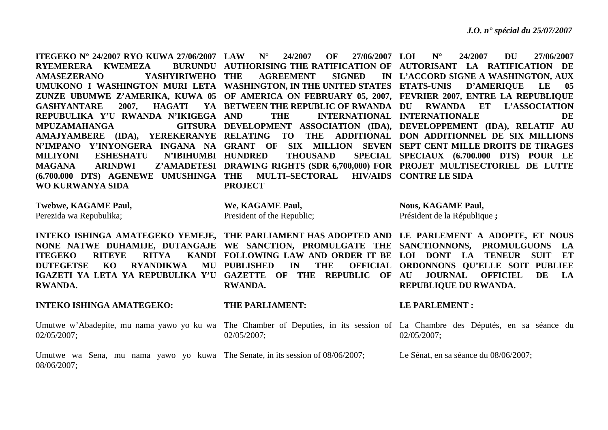| ITEGEKO N° 24/2007 RYO KUWA 27/06/2007 LAW                                           | $N^{\circ}$<br>24/2007<br>OF<br>27/06/2007 LOI          | $N^{\circ}$<br>24/2007<br><b>DU</b><br>27/06/2007                                                                            |
|--------------------------------------------------------------------------------------|---------------------------------------------------------|------------------------------------------------------------------------------------------------------------------------------|
| RYEMERERA KWEMEZA<br><b>BURUNDU</b>                                                  |                                                         | AUTHORISING THE RATIFICATION OF AUTORISANT LA RATIFICATION DE                                                                |
| YASHYIRIWEHO<br><b>AMASEZERANO</b>                                                   | <b>AGREEMENT</b><br><b>SIGNED</b><br>THE                | IN L'ACCORD SIGNE A WASHINGTON, AUX                                                                                          |
| UMUKONO I WASHINGTON MURI LETA WASHINGTON, IN THE UNITED STATES ETATS-UNIS           |                                                         | <b>D'AMERIQUE</b><br>LE<br>05                                                                                                |
|                                                                                      |                                                         | ZUNZE UBUMWE Z'AMERIKA, KUWA 05 OF AMERICA ON FEBRUARY 05, 2007, FEVRIER 2007, ENTRE LA REPUBLIQUE                           |
| HAGATI<br><b>GASHYANTARE</b><br>2007,                                                | YA BETWEEN THE REPUBLIC OF RWANDA DU                    | RWANDA ET<br><b>L'ASSOCIATION</b>                                                                                            |
| REPUBULIKA Y'U RWANDA N'IKIGEGA                                                      | <b>THE</b><br><b>AND</b>                                | INTERNATIONAL INTERNATIONALE<br><b>DE</b>                                                                                    |
| <b>MPUZAMAHANGA</b><br><b>GITSURA</b>                                                |                                                         | DEVELOPMENT ASSOCIATION (IDA), DEVELOPPEMENT (IDA), RELATIF AU                                                               |
| AMAJYAMBERE (IDA), YEREKERANYE RELATING TO                                           | <b>THE</b>                                              | ADDITIONAL DON ADDITIONNEL DE SIX MILLIONS                                                                                   |
| N'IMPANO Y'INYONGERA INGANA NA GRANT OF                                              |                                                         | SIX MILLION SEVEN SEPT CENT MILLE DROITS DE TIRAGES                                                                          |
| <b>MILIYONI</b><br><b>ESHESHATU</b>                                                  | N'IBIHUMBI HUNDRED<br><b>THOUSAND</b>                   | SPECIAL SPECIAUX (6.700.000 DTS) POUR LE                                                                                     |
| <b>ARINDWI</b><br><b>MAGANA</b>                                                      |                                                         | Z'AMADETESI DRAWING RIGHTS (SDR 6,700,000) FOR PROJET MULTISECTORIEL DE LUTTE                                                |
| (6.700.000 DTS) AGENEWE UMUSHINGA THE                                                | <b>MULTI-SECTORAL</b>                                   | <b>HIV/AIDS CONTRE LE SIDA</b>                                                                                               |
| WO KURWANYA SIDA                                                                     | <b>PROJECT</b>                                          |                                                                                                                              |
|                                                                                      |                                                         |                                                                                                                              |
| <b>Twebwe, KAGAME Paul,</b>                                                          | We, KAGAME Paul,                                        | <b>Nous, KAGAME Paul,</b>                                                                                                    |
| Perezida wa Repubulika;                                                              | President of the Republic;                              | Président de la République;                                                                                                  |
|                                                                                      |                                                         |                                                                                                                              |
|                                                                                      |                                                         | INTEKO ISHINGA AMATEGEKO YEMEJE, THE PARLIAMENT HAS ADOPTED AND LE PARLEMENT A ADOPTE, ET NOUS                               |
| NONE NATWE DUHAMIJE, DUTANGAJE WE SANCTION, PROMULGATE THE SANCTIONNONS, PROMULGUONS |                                                         | LA                                                                                                                           |
| <b>RITEYE</b><br><b>RITYA</b><br><b>KANDI</b><br><b>ITEGEKO</b>                      | FOLLOWING LAW AND ORDER IT BE                           | LOI DONT LA<br><b>TENEUR SUIT</b><br>ET                                                                                      |
| MU<br><b>DUTEGETSE</b><br>KO<br><b>RYANDIKWA</b>                                     | <b>THE</b><br><b>PUBLISHED</b><br>IN<br><b>OFFICIAL</b> | ORDONNONS QU'ELLE SOIT PUBLIEE                                                                                               |
| IGAZETI YA LETA YA REPUBULIKA Y'U                                                    | <b>GAZETTE OF THE REPUBLIC OF</b>                       | <b>JOURNAL</b><br><b>DE</b><br>AU<br><b>OFFICIEL</b><br>LA                                                                   |
| <b>RWANDA.</b>                                                                       | RWANDA.                                                 | REPUBLIQUE DU RWANDA.                                                                                                        |
|                                                                                      |                                                         |                                                                                                                              |
| <b>INTEKO ISHINGA AMATEGEKO:</b>                                                     | THE PARLIAMENT:                                         | LE PARLEMENT :                                                                                                               |
|                                                                                      |                                                         | Umutwe w'Abadepite, mu nama yawo yo ku wa The Chamber of Deputies, in its session of La Chambre des Députés, en sa séance du |
| 02/05/2007;                                                                          | 02/05/2007;                                             | 02/05/2007;                                                                                                                  |
|                                                                                      |                                                         |                                                                                                                              |
|                                                                                      |                                                         |                                                                                                                              |

08/06/2007;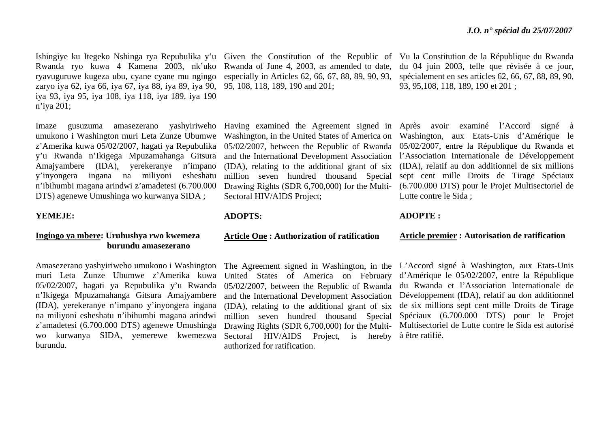Ishingiye ku Itegeko Nshinga rya Repubulika y'u Given the Constitution of the Republic of Vu la Constitution de la République du Rwanda Rwanda ryo kuwa 4 Kamena 2003, nk'uko Rwanda of June 4, 2003, as amended to date, ryavuguruwe kugeza ubu, cyane cyane mu ngingo zaryo iya 62, iya 66, iya 67, iya 88, iya 89, iya 90, iya 93, iya 95, iya 108, iya 118, iya 189, iya 190 <sup>n</sup>'iya 201;

Imaze gusuzuma amasezerano umukono i Washington muri Leta Zunze Ubumwe <sup>z</sup>'Amerika kuwa 05/02/2007, hagati ya Repubulika y'u Rwanda n'Ikigega Mpuzamahanga Gitsura Amajyambere (IDA), yerekeranye n'impano y'inyongera ingana na miliyoni esheshatu <sup>n</sup>'ibihumbi magana arindwi z'amadetesi (6.700.000 DTS) agenewe Umushinga wo kurwanya SIDA ;

#### **YEMEJE:**

# **Ingingo ya mbere: Uruhushya rwo kwemeza burundu amasezerano**

Amasezerano yashyiriweho umukono i Washington muri Leta Zunze Ubumwe z'Amerika kuwa 05/02/2007, hagati ya Repubulika y'u Rwanda <sup>n</sup>'Ikigega Mpuzamahanga Gitsura Amajyambere (IDA), yerekeranye n'impano y'inyongera ingana na miliyoni esheshatu n'ibihumbi magana arindwi <sup>z</sup>'amadetesi (6.700.000 DTS) agenewe Umushinga wo kurwanya SIDA, yemerewe kwemezwa burundu.

especially in Articles 62, 66, 67, 88, 89, 90, 93, 95, 108, 118, 189, 190 and 201;

and the International Development Association million seven hundred thousand Special Drawing Rights (SDR 6,700,000) for the Multi-Sectoral HIV/AIDS Project;

### **ADOPTS:**

#### **Article One : Authorization of ratification**

United States of America on February and the International Development Association (IDA), relating to the additional grant of six million seven hundred thousand Special Drawing Rights (SDR 6,700,000) for the Multi-Sectoral HIV/AIDS Project, is hereby à être ratifié. authorized for ratification.

du 04 juin 2003, telle que révisée à ce jour, spécialement en ses articles 62, 66, 67, 88, 89, 90, 93, 95,108, 118, 189, 190 et 201 ;

Having examined the Agreement signed in Après avoir examiné l'Accord signé à Washington, in the United States of America on Washington, aux Etats-Unis d'Amérique le 05/02/2007, between the Republic of Rwanda 05/02/2007, entre la République du Rwanda et (IDA), relating to the additional grant of six (IDA), relatif au don additionnel de six millions l'Association Internationale de Développement sept cent mille Droits de Tirage Spéciaux (6.700.000 DTS) pour le Projet Multisectoriel de Lutte contre le Sida ;

#### **ADOPTE :**

## **Article premier : Autorisation de ratification**

The Agreement signed in Washington, in the L'Accord signé à Washington, aux Etats-Unis 05/02/2007, between the Republic of Rwanda du Rwanda et l'Association Internationale de d'Amérique le 05/02/2007, entre la République Développement (IDA), relatif au don additionnel de six millions sept cent mille Droits de Tirage Spéciaux (6.700.000 DTS) pour le Projet Multisectoriel de Lutte contre le Sida est autorisé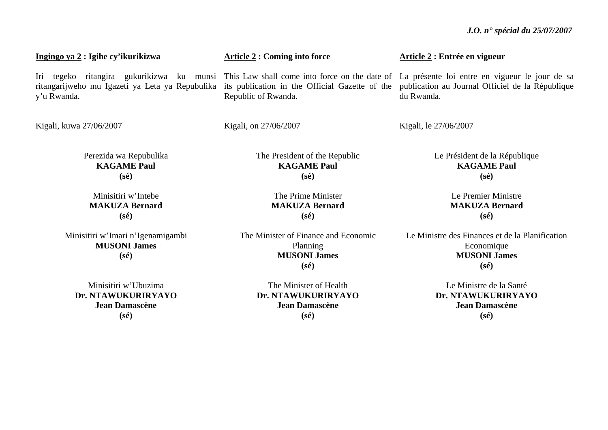**Ingingo ya 2 : Igihe cy'ikurikizwa**  Iri tegeko ritangira gukurikizwa ku munsi This-Law-shall-come-into-force-on-the-date-of-La-présente-loi-entre-en-vigueur-le-jour-de-sa ritangarijweho mu Igazeti ya Leta ya Repubulika its publication in the Official Gazette of the publication au Journal Officiel de la République y'u Rwanda. Kigali, kuwa 27/06/2007 Perezida wa Repubulika **KAGAME Paul (sé)**  Minisitiri w'Intebe **MAKUZA Bernard (sé) Article 2 : Coming into force**  Republic of Rwanda. Kigali, on 27/06/2007 The President of the Republic **KAGAME Paul (sé)**  The Prime Minister **MAKUZA Bernard (sé) Article 2 : Entrée en vigueur**  du Rwanda. Kigali, le 27/06/2007 Le Président de la République **KAGAME Paul (sé)**  Le Premier Ministre **MAKUZA Bernard (sé)** 

Minisitiri w'Imari n'Igenamigambi **MUSONI James (sé)** 

Minisitiri w'Ubuzima **Dr. NTAWUKURIRYAYO Jean Damascène (sé)** 

The Minister of Finance and Economic Planning **MUSONI James (sé)** 

The Minister of Health **Dr. NTAWUKURIRYAYO Jean Damascène (sé)** 

Le Ministre des Finances et de la Planification Economique **MUSONI James (sé)** 

> Le Ministre de la Santé **Dr. NTAWUKURIRYAYO Jean Damascène (sé)**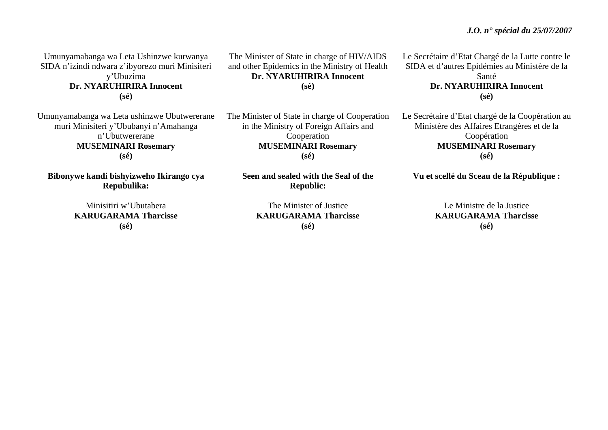# *J.O. n° spécial du 25/07/2007*

Umunyamabanga wa Leta Ushinzwe kurwanya SIDA n'izindi ndwara z'ibyorezo muri Minisiteri y'Ubuzima **Dr. NYARUHIRIRA Innocent (sé)** 

Umunyamabanga wa Leta ushinzwe Ubutwererane muri Minisiteri y'Ububanyi n'Amahanga n'Ubutwererane **MUSEMINARI Rosemary (sé)** 

**Bibonywe kandi bishyizweho Ikirango cya Repubulika:** 

> Minisitiri w'Ubutabera **KARUGARAMA Tharcisse (sé)**

The Minister of State in charge of HIV/AIDS and other Epidemics in the Ministry of Health **Dr. NYARUHIRIRA Innocent (sé)** 

The Minister of State in charge of Cooperation in the Ministry of Foreign Affairs and Cooperation **MUSEMINARI Rosemary (sé)** 

**Seen and sealed with the Seal of the Republic:** 

The Minister of Justice **KARUGARAMA Tharcisse (sé)** 

Le Secrétaire d'Etat Chargé de la Lutte contre le SIDA et d'autres Epidémies au Ministère de la Santé **Dr. NYARUHIRIRA Innocent (sé)** 

Le Secrétaire d'Etat chargé de la Coopération au Ministère des Affaires Etrangères et de la Coopération **MUSEMINARI Rosemary (sé)** 

**Vu et scellé du Sceau de la République :** 

Le Ministre de la Justice **KARUGARAMA Tharcisse (sé)**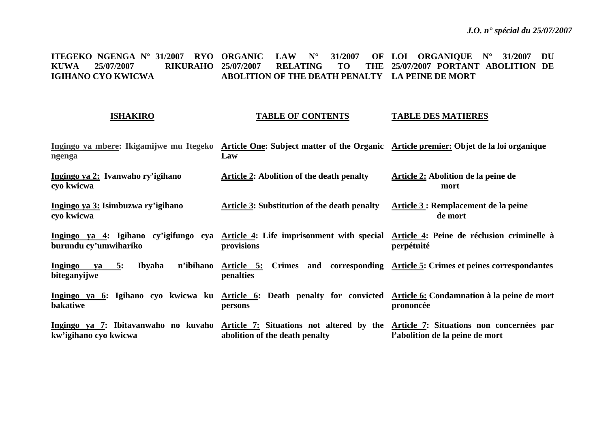#### **ITEGEKO NGENGA N° 31/2007 RYO ORGANIC LAW N° 31/2007 OF LOI ORGANIQUE N° 31/2007 DU KUWA 25/07/2007 RIKURAHO IGIHANO CYO KWICWA 25/07/2007 RELATING TO THE 25/07/2007 PORTANT ABOLITION DE ABOLITION OF THE DEATH PENALTY LA PEINE DE MORT**

### **ISHAKIRO**

#### **TABLE OF CONTENTS TABLE DES MATIERES**

| ngenga                                                     | Ingingo ya mbere: Ikigamijwe mu Itegeko Article One: Subject matter of the Organic Article premier: Objet de la loi organique<br>Law                     |                                                                      |
|------------------------------------------------------------|----------------------------------------------------------------------------------------------------------------------------------------------------------|----------------------------------------------------------------------|
| Ingingo ya 2: Ivanwaho ry'igihano<br>cyo kwicwa            | Article 2: Abolition of the death penalty                                                                                                                | Article 2: Abolition de la peine de<br>mort                          |
| Ingingo ya 3: Isimbuzwa ry'igihano<br>cyo kwicwa           | <b>Article 3: Substitution of the death penalty</b>                                                                                                      | Article 3 : Remplacement de la peine<br>de mort                      |
| burundu cy'umwihariko                                      | Ingingo ya 4: Igihano cy'igifungo cya Article 4: Life imprisonment with special Article 4: Peine de réclusion criminelle à<br>provisions                 | perpétuité                                                           |
| n'ibihano<br>Ingingo<br>Ibyaha<br>5:<br>ya<br>biteganyijwe | Article 5:<br>penalties                                                                                                                                  | Crimes and corresponding Article 5: Crimes et peines correspondantes |
| bakatiwe                                                   | Ingingo ya 6: Igihano cyo kwicwa ku Article 6: Death penalty for convicted Article 6: Condamnation à la peine de mort<br>persons                         | prononcée                                                            |
| kw'igihano cyo kwicwa                                      | Ingingo ya 7: Ibitavanwaho no kuvaho Article 7: Situations not altered by the Article 7: Situations non concernées par<br>abolition of the death penalty | l'abolition de la peine de mort                                      |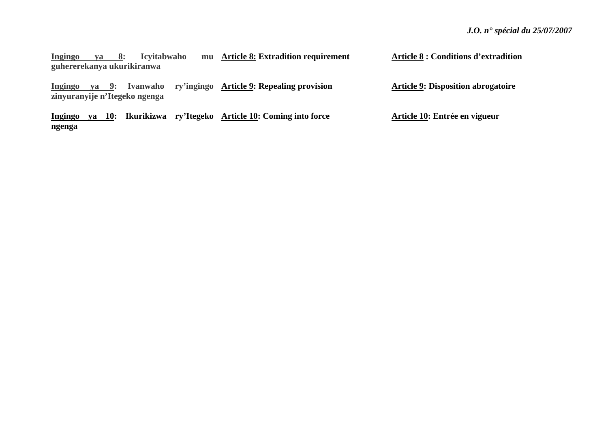**Ingingo** ya 8: Icyitabwaho **guhererekanya ukurikiranwa Article 8: Extradition requirement** 

**Ingingo ya 9: Ivanwaho ry'ingingo Article 9: Repealing provision zinyuranyije n'Itegeko ngenga** 

**Ingingo ya 10: Ikurikizwa ry'Itegeko Article 10: Coming into force ngenga** 

**Article 8 : Conditions d'extradition** 

**Article 9: Disposition abrogatoire** 

**Article 10: Entrée en vigueur**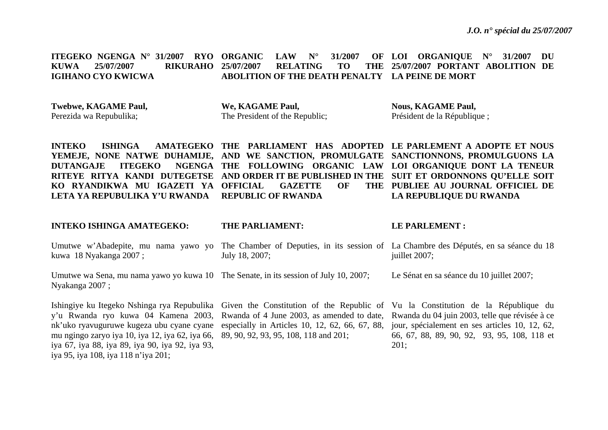**ITEGEKO NGENGA N° 31/2007 RYO ORGANIC LAW N° 31/2007 OF KUWA 25/07/2007 RIKURAHO IGIHANO CYO KWICWA LOI ORGANIQUE N° 31/2007 DU**  25/07/2007 RELATING TO **ABOLITION OF THE DEATH PENALTY LA PEINE DE MORT 25/07/2007 PORTANT ABOLITION DE** 

**Twebwe, KAGAME Paul,**  Perezida wa Repubulika;

**We, KAGAME Paul,**  The President of the Republic; **Nous, KAGAME Paul,**  Président de la République ;

**INTEKO ISHINGA AMATEGEKO THE PARLIAMENT HAS ADOPTED LE PARLEMENT A ADOPTE ET NOUS YEMEJE, NONE NATWE DUHAMIJE, AND WE SANCTION, PROMULGATE SANCTIONNONS, PROMULGUONS LA DUTANGAJE ITEGEKO THE FOLLOWING ORGANIC LAW LOI ORGANIQUE DONT LA TENEUR RITEYE RITYA KANDI DUTEGETSE AND ORDER IT BE PUBLISHED IN THE SUIT ET ORDONNONS QU'ELLE SOIT KO RYANDIKWA MU IGAZETI YA OFFICIAL GAZETTE OF THE LETA YA REPUBULIKA Y'U RWANDA REPUBLIC OF RWANDA PUBLIEE AU JOURNAL OFFICIEL DE LA REPUBLIQUE DU RWANDA** 

**INTEKO ISHINGA AMATEGEKO:** 

#### **THE PARLIAMENT:**

#### **LE PARLEMENT :**

Umutwe w'Abadepite, mu nama yawo yo The Chamber of Deputies, in its session of La Chambre des Députés, en sa séance du 18 kuwa 18 Nyakanga 2007 ; July 18, 2007; juillet 2007;

Umutwe wa Sena, mu nama yawo yo kuwa 10 The Senate, in its session of July 10, 2007; Nyakanga 2007 ; Le Sénat en sa séance du 10 juillet 2007;

Ishingiye ku Itegeko Nshinga rya Repubulika Given the Constitution of the Republic of Vu la Constitution de la République du y'u Rwanda ryo kuwa 04 Kamena 2003, nk'uko ryavuguruwe kugeza ubu cyane cyane mu ngingo zaryo iya 10, iya 12, iya 62, iya 66, 89, 90, 92, 93, 95, 108, 118 and 201; iya 67, iya 88, iya 89, iya 90, iya 92, iya 93, iya 95, iya 108, iya 118 n'iya 201;

Rwanda of 4 June 2003, as amended to date, Rwanda du 04 juin 2003, telle que révisée à ce especially in Articles 10, 12, 62, 66, 67, 88, jour, spécialement en ses articles 10, 12, 62, 66, 67, 88, 89, 90, 92, 93, 95, 108, 118 et 201;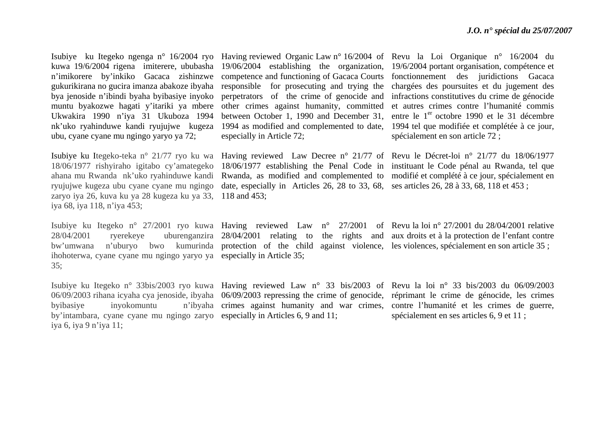Isubiye ku Itegeko ngenga n° 16/2004 ryo Having reviewed Organic Law n° 16/2004 of Revu la Loi Organique n° 16/2004 du kuwa 19/6/2004 rigena imiterere, ububasha 19/06/2004 establishing the organization, 19/6/2004 portantorganisation, compétence et <sup>n</sup>'imikorere by'inkiko Gacaca zishinzwe competence and functioning of Gacaca Courts fonctionnement des juridictions Gacaca gukurikirana no gucira imanza abakoze ibyaha responsible for prosecuting and trying the chargées des poursuites et du jugement des bya jenoside n'ibindi byaha byibasiye inyoko muntu byakozwe hagati y'itariki ya mbere Ukwakira 1990 n'iya 31 Ukuboza 1994 nk'uko ryahinduwe kandi ryujujwe kugeza 1994 as modified and complemented to date, 1994 tel que modifiée et complétée à ce jour, ubu, cyane cyane mu ngingo yaryo ya 72;

ryujujwe kugeza ubu cyane cyane mu ngingo zaryo iya 26, kuva ku ya 28 kugeza ku ya 33, 118 and 453; iya 68, iya 118, n'iya 453;

ihohoterwa, cyane cyane mu ngingo yaryo ya especially in Article 35; 35;

Isubiye ku Itegeko n° 33bis/2003 ryo kuwa Having reviewed Law n° 33 bis/2003 of Revu la loi n° 33 bis/2003 du 06/09/2003 06/09/2003 rihana icyaha cya jenoside, ibyaha 06/09/2003 repressing the crime of genocide, réprimant le crime de génocide, les crimes byibasiye inyokomuntu by'intambara, cyane cyane mu ngingo zaryo especially in Articles 6, 9 and 11; iya 6, iya 9 n'iya 11;

other crimes against humanity, committed between October 1, 1990 and December 31, especially in Article 72;

date, especially in Articles 26, 28 to 33, 68, ses articles 26, 28 à 33, 68, 118 et 453 ;

perpetrators of the crime of genocide and infractions constitutives du crime de génocide et autres crimes contre l'humanité commis entre le 1<sup>er</sup> octobre 1990 et le 31 décembre spécialement en son article 72 ;

Isubiye ku Itegeko-teka n° 21/77 ryo ku wa Having reviewed Law Decree n° 21/77 of Revu le Décret-loi n° 21/77 du 18/06/1977 18/06/1977 rishyiraho igitabo cy'amategeko 18/06/1977 establishing the Penal Code in instituant le Code pénal au Rwanda, tel que ahana mu Rwanda nk'uko ryahinduwe kandi Rwanda, as modified and complemented to modifié et complété à ce jour, spécialement en

Isubiye ku Itegeko n° 27/2001 ryo kuwa Having reviewed Law n° 27/2001 of Revulla loin° 27/2001 du 28/04/2001 relative 28/04/2001 ryerekeye uburenganzira 28/04/2001 relating to the rights and aux droits et à la protection de l'enfant contre bw'umwana n'uburyo bwo kumurinda protection of the child against violence, les violences, spécialement en son article 35 ;

crimes against humanity and war crimes, contre l'humanité et les crimes de guerre, spécialement en ses articles 6, 9 et 11 ;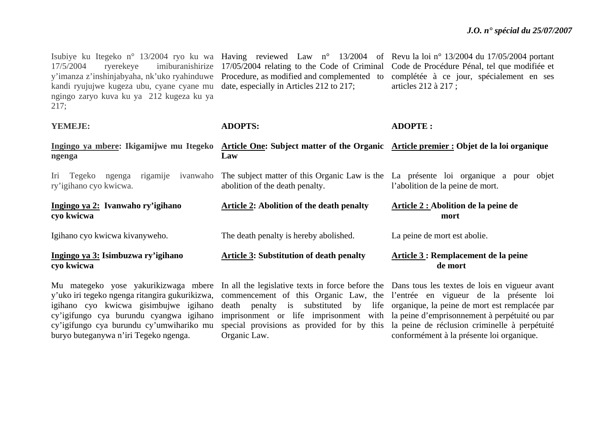Isubiye ku Itegeko n° 13/2004 ryo ku wa Having reviewed Law n° 13/2004 of Revu la loi n° 13/2004 du 17/05/2004 portant 17/5/2004 ryerekeye imiburanishirize 17/05/2004 relating to the Code of Criminal Code de Procédure Pénal, tel que modifiée et y'imanza z'inshinjabyaha, nk'uko ryahinduwe Procedure, as modified and complemented to complétée à ce jour, spécialement en ses kandi ryujujwe kugeza ubu, cyane cyane mu date, especially in Articles 212 to 217; ngingo zaryo kuva ku ya 212 kugeza ku ya 217; articles 212 à 217 ;

| YEMEJE:                                                                | <b>ADOPTS:</b>                                                                                                                        | <b>ADOPTE:</b>                                                                                                           |
|------------------------------------------------------------------------|---------------------------------------------------------------------------------------------------------------------------------------|--------------------------------------------------------------------------------------------------------------------------|
| ngenga                                                                 | Ingingo ya mbere: Ikigamijwe mu Itegeko Article One: Subject matter of the Organic Article premier : Objet de la loi organique<br>Law |                                                                                                                          |
| Iri Tegeko<br>rigamije<br>ivanwaho<br>ngenga<br>ry'igihano cyo kwicwa. | abolition of the death penalty.                                                                                                       | The subject matter of this Organic Law is the La présente loi organique a pour objet<br>l'abolition de la peine de mort. |
| Ingingo ya 2: Ivanwaho ry'igihano<br>cyo kwicwa                        | <b>Article 2: Abolition of the death penalty</b>                                                                                      | Article 2 : Abolition de la peine de<br>mort                                                                             |
| Igihano cyo kwicwa kivanyweho.                                         | The death penalty is hereby abolished.                                                                                                | La peine de mort est abolie.                                                                                             |
| Ingingo ya 3: Isimbuzwa ry'igihano<br>cyo kwicwa                       | <b>Article 3: Substitution of death penalty</b>                                                                                       | Article 3 : Remplacement de la peine<br>de mort                                                                          |
|                                                                        |                                                                                                                                       |                                                                                                                          |

y'uko iri tegeko ngenga ritangira gukurikizwa, igihano cyo kwicwa gisimbujwe igihano buryo buteganywa n'iri Tegeko ngenga.

Organic Law.

Mu mategeko yose yakurikizwaga mbere In all the legislative texts in force before the Dans tous les textes de lois en vigueur avant cy'igifungo cya burundu cyangwa igihano imprisonment or life imprisonment with la peine d'emprisonnement à perpétuité ou par cy'igifungo cya burundu cy'umwihariko mu special provisions as provided for by this la peine de réclusion criminelle à perpétuité commencement of this Organic Law, the l'entrée en vigueur de la présente loi death penalty is substituted by life organique, la peine de mort est remplacée par conformément à la présente loi organique.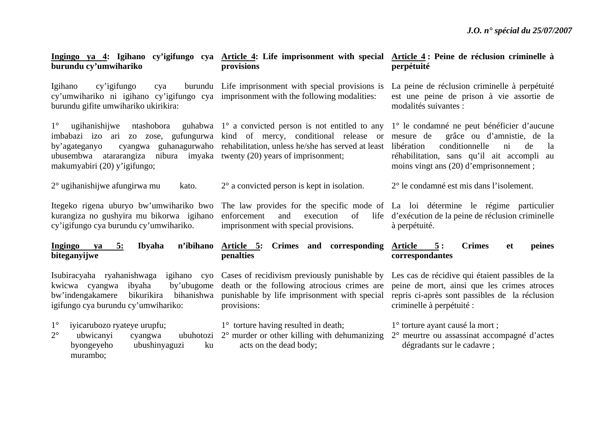| burundu cy'umwihariko                                                                                                                                          | Ingingo ya 4: Igihano cy'igifungo cya Article 4: Life imprisonment with special Article 4: Peine de réclusion criminelle à<br>provisions                                                                                         | perpétuité                                                                                                                                                                                                                                           |
|----------------------------------------------------------------------------------------------------------------------------------------------------------------|----------------------------------------------------------------------------------------------------------------------------------------------------------------------------------------------------------------------------------|------------------------------------------------------------------------------------------------------------------------------------------------------------------------------------------------------------------------------------------------------|
| Igihano<br>cy'igifungo<br>cya<br>cy'umwihariko ni igihano cy'igifungo cya imprisonment with the following modalities:<br>burundu gifite umwihariko ukirikira:  | burundu Life imprisonment with special provisions is                                                                                                                                                                             | La peine de réclusion criminelle à perpétuité<br>est une peine de prison à vie assortie de<br>modalités suivantes :                                                                                                                                  |
| $1^{\circ}$<br>imbabazi izo ari zo zose, gufungurwa kind of mercy, conditional release or<br>by'agateganyo<br>ubusembwa<br>makumyabiri (20) y'igifungo;        | ugihanishijwe ntashobora guhabwa $1^\circ$ a convicted person is not entitled to any<br>cyangwa guhanagurwaho rehabilitation, unless he/she has served at least<br>atararangiza nibura imyaka twenty (20) years of imprisonment; | 1° le condamné ne peut bénéficier d'aucune<br>grâce ou d'amnistie, de la<br>mesure de<br>conditionnelle<br>libération<br>$\overline{\text{ni}}$<br>de<br>la<br>réhabilitation, sans qu'il ait accompli au<br>moins vingt ans (20) d'emprisonnement ; |
| $2^{\circ}$ ugihanishijwe afungirwa mu<br>kato.                                                                                                                | $2^{\circ}$ a convicted person is kept in isolation.                                                                                                                                                                             | 2° le condamné est mis dans l'isolement.                                                                                                                                                                                                             |
| Itegeko rigena uburyo bw'umwihariko bwo<br>kurangiza no gushyira mu bikorwa igihano<br>cy'igifungo cya burundu cy'umwihariko.                                  | The law provides for the specific mode of La loi détermine le régime particulier<br>enforcement<br>and<br>execution of<br>imprisonment with special provisions.                                                                  | life d'exécution de la peine de réclusion criminelle<br>à perpétuité.                                                                                                                                                                                |
| Ingingo ya<br>Ibyaha<br>n'ibihano<br>5:<br>biteganyijwe                                                                                                        | Article 5: Crimes and corresponding<br>penalties                                                                                                                                                                                 | Article 5:<br><b>Crimes</b><br>peines<br><b>et</b><br>correspondantes                                                                                                                                                                                |
| Isubiracyaha ryahanishwaga igihano cyo<br>kwicwa cyangwa ibyaha<br>by'ubugome<br>bw'indengakamere bikurikira bihanishwa<br>igifungo cya burundu cy'umwihariko: | Cases of recidivism previously punishable by<br>death or the following atrocious crimes are<br>punishable by life imprisonment with special<br>provisions:                                                                       | Les cas de récidive qui étaient passibles de la<br>peine de mort, ainsi que les crimes atroces<br>repris ci-après sont passibles de la réclusion<br>criminelle à perpétuité :                                                                        |
| $1^{\circ}$<br>iyicarubozo ryateye urupfu;<br>$2^{\circ}$<br>ubwicanyi<br>cyangwa<br>byongeyeho<br>ubushinyaguzi<br>ku<br>murambo;                             | 1° torture having resulted in death;<br>ubuhotozi 2° murder or other killing with dehumanizing<br>acts on the dead body;                                                                                                         | 1° torture ayant causé la mort;<br>2° meurtre ou assassinat accompagné d'actes<br>dégradants sur le cadavre ;                                                                                                                                        |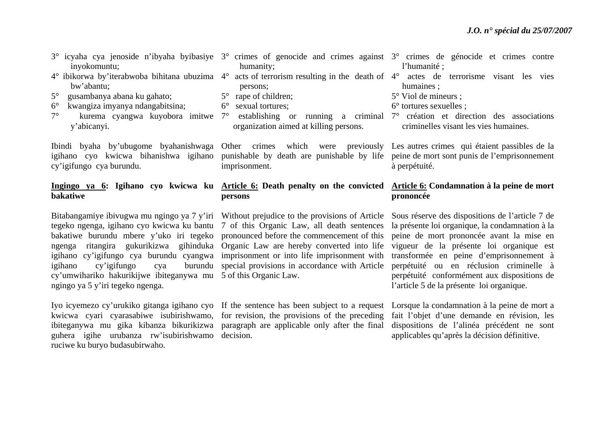- 3° icyaha cya jenoside n'ibyaha byibasiye 3° crimes of genocide and crimes against inyokomuntu;
- 4° ibikorwa by'iterabwoba bihitana ubuzima 4° acts of terrorism resulting in the death of 4° actes de terrorisme visant les vies bw'abantu;
- 5° gusambanya abana ku gahato;
- 6° kwangiza imyanya ndangabitsina;
- 7° kurema cyangwa kuyobora imitwe y'abicanyi.

cy'igifungo cya burundu.

# **bakatiwe**

Bitabangamiye ibivugwa mu ngingo ya 7 y'iri Without prejudice to the provisions of Article Sous réserve des dispositions de l'article 7 de tegeko ngenga, igihano cyo kwicwa ku bantu 7 of this Organic Law, all death sentences bakatiwe burundu mbere y'uko iri tegeko pronounced before the commencement of this peine de mort prononcée avant la mise en ngenga ritangira gukurikizwa gihinduka Organic-Law are-hereby converted into life vigueur de la présente loi organique est igihano cy'igifungo cya burundu cyangwa imprisonment or into life imprisonment with transformée en peine d'emprisonnement à igihano cy'igifungo cya cy'umwihariko hakurikijwe ibiteganywa mu 5 of this Organic Law. ngingo ya 5 y'iri tegeko ngenga.

Iyo icyemezo cy'urukiko gitanga igihano cyo If the sentence has been subject to a request Lorsque la condamnation à la peine de mort a kwicwa cyari cyarasabiwe isubirishwamo, for revision, the provisions of the preceding fait l'objet d'une demande en révision, les ibiteganywa mu gika kibanza bikurikizwa paragraph are applicable only after the final dispositions de l'alinéa précédent ne sont guhera igihe urubanza rw'isubirishwamo decision. ruciwe ku buryo budasubirwaho.

- humanity;
- persons;
- 5° rape of children;
- 6° sexual tortures;
- organization aimed at killing persons.

imprisonment.

# **persons**

burundu special provisions in accordance with Article

|  |             | gainst 3 <sup>°</sup> crimes de génocide et crimes contre |  |  |
|--|-------------|-----------------------------------------------------------|--|--|
|  | l'humanité; |                                                           |  |  |

- humaines ;
- 5° Viol de mineurs ;
- 6° tortures sexuelles ;
- 7° establishing or running a criminal 7° création et direction des associations criminelles visant les vies humaines.

Ibindi byaha by'ubugome byahanishwaga Other crimes which were previously Les autres crimes qui étaient passibles de la igihano cyo kwicwa bihanishwa igihano punishable by death are punishable by life peine de mort sont punis de l'emprisonnement à perpétuité.

# **Ingingo ya 6: Igihano cyo kwicwa ku Article 6: Death penalty on the convicted Article 6: Condamnation à la peine de mort prononcée**

la présente loi organique, la condamnation à la perpétuité ou en réclusion criminelle à perpétuité conformément aux dispositions de l'article 5 de la présente loi organique.

applicables qu'après la décision définitive.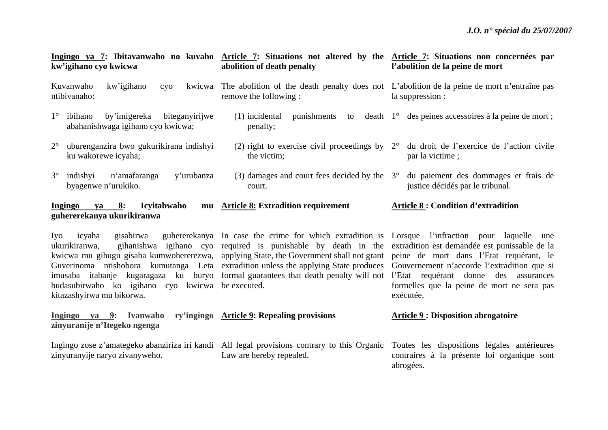| kw'igihano cyo kwicwa                                                                                                        | Ingingo ya 7: Ibitavanwaho no kuvaho Article 7: Situations not altered by the Article 7: Situations non concernées par<br>abolition of death penalty                                                                                                                                                                                                                                                                                                                                                                                                                                                            | l'abolition de la peine de mort                                                                                     |
|------------------------------------------------------------------------------------------------------------------------------|-----------------------------------------------------------------------------------------------------------------------------------------------------------------------------------------------------------------------------------------------------------------------------------------------------------------------------------------------------------------------------------------------------------------------------------------------------------------------------------------------------------------------------------------------------------------------------------------------------------------|---------------------------------------------------------------------------------------------------------------------|
| Kuvanwaho<br>kw'igihano<br>cyo<br>ntibivanaho:                                                                               | kwicwa. The abolition of the death penalty does not L'abolition de la peine de mort n'entraîne pas<br>remove the following :                                                                                                                                                                                                                                                                                                                                                                                                                                                                                    | la suppression :                                                                                                    |
| $1^\circ$ ibihano<br>by'imigereka biteganyirijwe<br>abahanishwaga igihano cyo kwicwa;                                        | penalty;                                                                                                                                                                                                                                                                                                                                                                                                                                                                                                                                                                                                        | (1) incidental punishments to death $1^{\circ}$ des peines accessoires à la peine de mort;                          |
| $2^{\circ}$<br>uburenganzira bwo gukurikirana indishyi<br>ku wakorewe icyaha;                                                | the victim;                                                                                                                                                                                                                                                                                                                                                                                                                                                                                                                                                                                                     | (2) right to exercise civil proceedings by $2^{\circ}$ du droit de l'exercice de l'action civile<br>par la victime; |
| $3^\circ$ indishyi<br>n'amafaranga<br>y'urubanza<br>byagenwe n'urukiko.                                                      | (3) damages and court fees decided by the $3^{\circ}$<br>court.                                                                                                                                                                                                                                                                                                                                                                                                                                                                                                                                                 | du paiement des dommages et frais de<br>justice décidés par le tribunal.                                            |
| Ingingo ya 8: Icyitabwaho<br>guhererekanya ukurikiranwa                                                                      | mu Article 8: Extradition requirement                                                                                                                                                                                                                                                                                                                                                                                                                                                                                                                                                                           | <b>Article 8: Condition d'extradition</b>                                                                           |
| Iyo<br>gisabirwa<br>icyaha<br>ukurikiranwa,<br>budasubirwaho ko igihano cyo kwicwa be executed.<br>kitazashyirwa mu bikorwa. | guhererekanya In case the crime for which extradition is Lorsque l'infraction pour laquelle une<br>gihanishwa igihano cyo required is punishable by death in the extradition est demandée est punissable de la<br>kwicwa mu gihugu gisaba kumwohererezwa, applying State, the Government shall not grant peine de mort dans l'Etat requérant, le<br>Guverinoma ntishobora kumutanga Leta extradition unless the applying State produces Gouvernement n'accorde l'extradition que si<br>imusaba itabanje kugaragaza ku buryo formal-guarantees-that-death-penalty-will-not l'Etat requérant donne des assurances | formelles que la peine de mort ne sera pas<br>exécutée.                                                             |
| Ingingo ya 9: Ivanwaho ry'ingingo Article 9: Repealing provisions<br>zinyuranije n'Itegeko ngenga                            |                                                                                                                                                                                                                                                                                                                                                                                                                                                                                                                                                                                                                 | <b>Article 9 : Disposition abrogatoire</b>                                                                          |
| zinyuranyije naryo zivanyweho.                                                                                               | Ingingo zose z'amategeko abanziriza iri kandi All legal provisions contrary to this Organic Toutes les dispositions légales antérieures<br>Law are hereby repealed.                                                                                                                                                                                                                                                                                                                                                                                                                                             | contraires à la présente loi organique sont<br>abrogées.                                                            |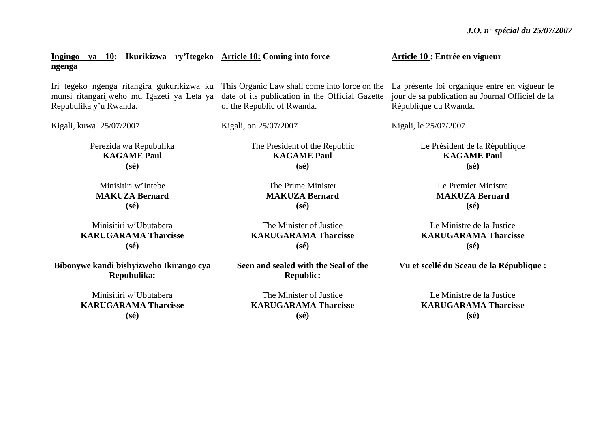| ya 10: Ikurikizwa ry'Itegeko Article 10: Coming into force<br>Ingingo<br>ngenga |                                                                                                                                                                           | Article 10 : Entrée en vigueur                                                                                             |
|---------------------------------------------------------------------------------|---------------------------------------------------------------------------------------------------------------------------------------------------------------------------|----------------------------------------------------------------------------------------------------------------------------|
| munsi ritangarijweho mu Igazeti ya Leta ya<br>Repubulika y'u Rwanda.            | Iri tegeko ngenga ritangira gukurikizwa ku This Organic Law shall come into force on the<br>date of its publication in the Official Gazette<br>of the Republic of Rwanda. | La présente loi organique entre en vigueur le<br>jour de sa publication au Journal Officiel de la<br>République du Rwanda. |
| Kigali, kuwa 25/07/2007                                                         | Kigali, on 25/07/2007                                                                                                                                                     | Kigali, le 25/07/2007                                                                                                      |
| Perezida wa Repubulika                                                          | The President of the Republic                                                                                                                                             | Le Président de la République                                                                                              |
| <b>KAGAME Paul</b>                                                              | <b>KAGAME Paul</b>                                                                                                                                                        | <b>KAGAME Paul</b>                                                                                                         |
| $(s\acute{e})$                                                                  | $(s\acute{e})$                                                                                                                                                            | $(s\acute{e})$                                                                                                             |
| Minisitiri w'Intebe                                                             | The Prime Minister                                                                                                                                                        | Le Premier Ministre                                                                                                        |
| <b>MAKUZA Bernard</b>                                                           | <b>MAKUZA Bernard</b>                                                                                                                                                     | <b>MAKUZA Bernard</b>                                                                                                      |
| $(s\acute{e})$                                                                  | $(s\acute{e})$                                                                                                                                                            | $(s\acute{e})$                                                                                                             |
| Minisitiri w'Ubutabera                                                          | The Minister of Justice                                                                                                                                                   | Le Ministre de la Justice                                                                                                  |
| <b>KARUGARAMA Tharcisse</b>                                                     | <b>KARUGARAMA Tharcisse</b>                                                                                                                                               | <b>KARUGARAMA Tharcisse</b>                                                                                                |

**KARUGARAMA Tharcisse (sé)** 

**Bibonywe kandi bishyizweho Ikirango cya Repubulika:** 

> Minisitiri w'Ubutabera **KARUGARAMA Tharcisse (sé)**

**Seen and sealed with the Seal of the Republic:** 

**(sé)** 

The Minister of Justice **KARUGARAMA Tharcisse (sé)** 

**Vu et scellé du Sceau de la République :** 

**(sé)** 

Le Ministre de la Justice **KARUGARAMA Tharcisse (sé)**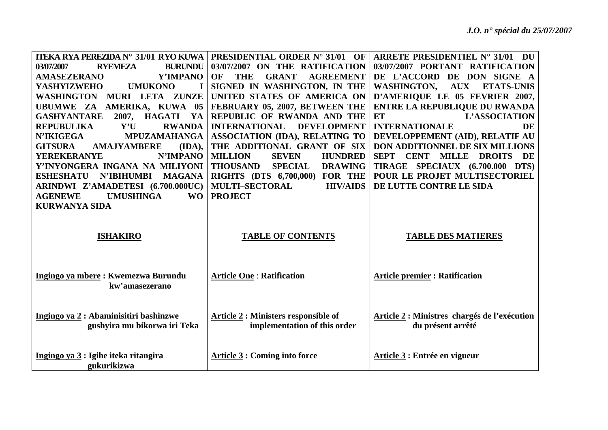| <b>ITEKA RYA PEREZIDA N° 31/01 RYO KUWA</b>            | <b>PRESIDENTIAL ORDER N° 31/01 OF</b>                | ARRETE PRESIDENTIEL N° 31/01<br>DU                    |
|--------------------------------------------------------|------------------------------------------------------|-------------------------------------------------------|
| <b>RYEMEZA</b><br><b>BURUNDU</b><br>03/07/2007         | 03/07/2007 ON THE RATIFICATION                       | 03/07/2007 PORTANT RATIFICATION                       |
| <b>AMASEZERANO</b><br>Y'IMPANO                         | OF<br><b>GRANT</b><br><b>AGREEMENT</b><br><b>THE</b> | DE L'ACCORD DE DON SIGNE A                            |
| <b>YASHYIZWEHO</b><br><b>UMUKONO</b>                   | SIGNED IN WASHINGTON, IN THE                         | <b>WASHINGTON,</b><br><b>AUX</b><br><b>ETATS-UNIS</b> |
| <b>WASHINGTON</b><br>MURI LETA ZUNZE                   | UNITED STATES OF AMERICA ON                          | D'AMERIQUE LE 05 FEVRIER 2007,                        |
| UBUMWE ZA AMERIKA, KUWA 05                             | FEBRUARY 05, 2007, BETWEEN THE                       | <b>ENTRE LA REPUBLIQUE DU RWANDA</b>                  |
| 2007, HAGATI<br><b>GASHYANTARE</b><br>YA               | REPUBLIC OF RWANDA AND THE                           | <b>ET</b><br>L'ASSOCIATION                            |
| <b>REPUBULIKA</b><br>Y'U<br><b>RWANDA</b>              | <b>INTERNATIONAL</b><br><b>DEVELOPMENT</b>           | <b>INTERNATIONALE</b><br>DE                           |
| <b>N'IKIGEGA</b><br><b>MPUZAMAHANGA</b>                | <b>ASSOCIATION (IDA), RELATING TO</b>                | DEVELOPPEMENT (AID), RELATIF AU                       |
| <b>GITSURA</b><br><b>AMAJYAMBERE</b><br>(IDA),         | THE ADDITIONAL GRANT OF SIX                          | DON ADDITIONNEL DE SIX MILLIONS                       |
| <b>YEREKERANYE</b><br>N'IMPANO                         | <b>MILLION</b><br><b>SEVEN</b><br><b>HUNDRED</b>     | SEPT CENT<br><b>MILLE</b><br><b>DROITS</b><br>DE      |
| Y'INYONGERA INGANA NA MILIYONI                         | <b>THOUSAND</b><br><b>SPECIAL</b><br><b>DRAWING</b>  | TIRAGE SPECIAUX (6.700.000 DTS)                       |
| <b>ESHESHATU</b><br><b>N'IBIHUMBI</b><br><b>MAGANA</b> | <b>RIGHTS (DTS 6,700,000) FOR THE</b>                | POUR LE PROJET MULTISECTORIEL                         |
| ARINDWI Z'AMADETESI (6.700.000UC)                      | <b>MULTI-SECTORAL</b><br><b>HIV/AIDS</b>             | DE LUTTE CONTRE LE SIDA                               |
| <b>UMUSHINGA</b><br><b>AGENEWE</b><br><b>WO</b>        | <b>PROJECT</b>                                       |                                                       |
| <b>KURWANYA SIDA</b>                                   |                                                      |                                                       |
|                                                        |                                                      |                                                       |
|                                                        |                                                      |                                                       |
| <b>ISHAKIRO</b>                                        | <b>TABLE OF CONTENTS</b>                             | <b>TABLE DES MATIERES</b>                             |
|                                                        |                                                      |                                                       |
|                                                        |                                                      |                                                       |
| Ingingo ya mbere: Kwemezwa Burundu                     | <b>Article One: Ratification</b>                     | <b>Article premier: Ratification</b>                  |
| kw'amasezerano                                         |                                                      |                                                       |
|                                                        |                                                      |                                                       |
|                                                        |                                                      |                                                       |
| Ingingo ya 2 : Abaminisitiri bashinzwe                 | <b>Article 2: Ministers responsible of</b>           | Article 2 : Ministres chargés de l'exécution          |
| gushyira mu bikorwa iri Teka                           | implementation of this order                         | du présent arrêté                                     |
|                                                        |                                                      |                                                       |
|                                                        |                                                      |                                                       |
| Ingingo ya 3 : Igihe iteka ritangira                   | <b>Article 3 : Coming into force</b>                 | Article 3 : Entrée en vigueur                         |
| gukurikizwa                                            |                                                      |                                                       |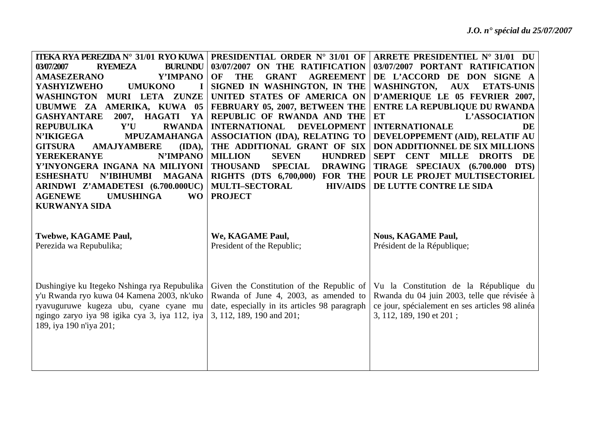| <b>ITEKA RYA PEREZIDA N° 31/01 RYO KUWA</b><br><b>RYEMEZA</b><br>03/07/2007<br><b>BURUNDU</b><br>Y'IMPANO<br><b>AMASEZERANO</b><br><b>UMUKONO</b><br><b>YASHYIZWEHO</b><br>WASHINGTON<br>MURI LETA ZUNZE<br>UBUMWE ZA AMERIKA, KUWA 05<br><b>GASHYANTARE</b><br>2007, HAGATI<br>YA<br><b>REPUBULIKA</b><br>${\bf Y}'{\bf U}$<br><b>RWANDA</b><br><b>N'IKIGEGA</b><br><b>MPUZAMAHANGA</b><br><b>GITSURA</b><br><b>AMAJYAMBERE</b><br>(IDA),<br>N'IMPANO<br><b>YEREKERANYE</b><br>Y'INYONGERA INGANA NA MILIYONI<br><b>ESHESHATU</b><br><b>N'IBIHUMBI</b><br><b>MAGANA</b><br>ARINDWI Z'AMADETESI (6.700.000UC)<br><b>AGENEWE</b><br><b>UMUSHINGA</b><br><b>WO</b><br><b>KURWANYA SIDA</b> | <b>PRESIDENTIAL ORDER N° 31/01 OF</b><br>03/07/2007 ON THE RATIFICATION<br><b>OF</b><br><b>THE</b><br><b>GRANT</b><br><b>AGREEMENT</b><br>SIGNED IN WASHINGTON, IN THE<br>UNITED STATES OF AMERICA ON<br>FEBRUARY 05, 2007, BETWEEN THE<br>REPUBLIC OF RWANDA AND THE<br><b>INTERNATIONAL</b><br><b>DEVELOPMENT</b><br><b>ASSOCIATION (IDA), RELATING TO</b><br>THE ADDITIONAL GRANT OF SIX<br><b>MILLION</b><br><b>HUNDRED</b><br><b>SEVEN</b><br><b>THOUSAND</b><br><b>SPECIAL</b><br><b>DRAWING</b><br><b>RIGHTS</b> (DTS 6,700,000)<br><b>FOR THE</b><br><b>MULTI-SECTORAL</b><br><b>HIV/AIDS</b><br><b>PROJECT</b> | ARRETE PRESIDENTIEL N° 31/01 DU<br>03/07/2007 PORTANT RATIFICATION<br>DE L'ACCORD DE DON SIGNE A<br>WASHINGTON,<br>$\mathbf{A}\mathbf{U}\mathbf{X}$<br><b>ETATS-UNIS</b><br>D'AMERIQUE LE 05 FEVRIER 2007,<br><b>ENTRE LA REPUBLIQUE DU RWANDA</b><br><b>ET</b><br>L'ASSOCIATION<br><b>INTERNATIONALE</b><br>DE<br>DEVELOPPEMENT (AID), RELATIF AU<br>DON ADDITIONNEL DE SIX MILLIONS<br>SEPT CENT MILLE DROITS DE<br>TIRAGE SPECIAUX (6.700.000 DTS)<br>POUR LE PROJET MULTISECTORIEL<br>DE LUTTE CONTRE LE SIDA |
|------------------------------------------------------------------------------------------------------------------------------------------------------------------------------------------------------------------------------------------------------------------------------------------------------------------------------------------------------------------------------------------------------------------------------------------------------------------------------------------------------------------------------------------------------------------------------------------------------------------------------------------------------------------------------------------|-------------------------------------------------------------------------------------------------------------------------------------------------------------------------------------------------------------------------------------------------------------------------------------------------------------------------------------------------------------------------------------------------------------------------------------------------------------------------------------------------------------------------------------------------------------------------------------------------------------------------|-------------------------------------------------------------------------------------------------------------------------------------------------------------------------------------------------------------------------------------------------------------------------------------------------------------------------------------------------------------------------------------------------------------------------------------------------------------------------------------------------------------------|
| <b>Twebwe, KAGAME Paul,</b><br>Perezida wa Repubulika;                                                                                                                                                                                                                                                                                                                                                                                                                                                                                                                                                                                                                                   | We, KAGAME Paul,<br>President of the Republic;                                                                                                                                                                                                                                                                                                                                                                                                                                                                                                                                                                          | <b>Nous, KAGAME Paul,</b><br>Président de la République;                                                                                                                                                                                                                                                                                                                                                                                                                                                          |
| Dushingiye ku Itegeko Nshinga rya Repubulika<br>y'u Rwanda ryo kuwa 04 Kamena 2003, nk'uko<br>ryavuguruwe kugeza ubu, cyane cyane mu<br>ngingo zaryo iya 98 igika cya 3, iya 112, iya<br>189, iya 190 n'iya 201;                                                                                                                                                                                                                                                                                                                                                                                                                                                                         | Given the Constitution of the Republic of<br>Rwanda of June 4, 2003, as amended to<br>date, especially in its articles 98 paragraph<br>3, 112, 189, 190 and 201;                                                                                                                                                                                                                                                                                                                                                                                                                                                        | Vu la Constitution de la République du<br>Rwanda du 04 juin 2003, telle que révisée à<br>ce jour, spécialement en ses articles 98 alinéa<br>3, 112, 189, 190 et 201;                                                                                                                                                                                                                                                                                                                                              |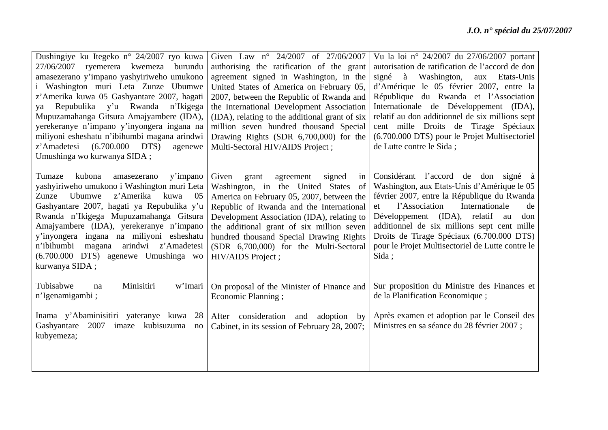| Dushingiye ku Itegeko n° 24/2007 ryo kuwa<br>27/06/2007 ryemerera kwemeza burundu<br>amasezerano y'impano yashyiriweho umukono<br>Washington muri Leta Zunze Ubumwe<br>z'Amerika kuwa 05 Gashyantare 2007, hagati<br>Repubulika y'u Rwanda n'Ikigega<br>ya<br>Mupuzamahanga Gitsura Amajyambere (IDA),<br>yerekeranye n'impano y'inyongera ingana na<br>miliyoni esheshatu n'ibihumbi magana arindwi<br>(6.700.000)<br>z'Amadetesi<br>DTS)<br>agenewe<br>Umushinga wo kurwanya SIDA; | Given Law n° 24/2007 of 27/06/2007<br>authorising the ratification of the grant<br>agreement signed in Washington, in the<br>United States of America on February 05,<br>2007, between the Republic of Rwanda and<br>the International Development Association<br>(IDA), relating to the additional grant of six<br>million seven hundred thousand Special<br>Drawing Rights (SDR 6,700,000) for the<br>Multi-Sectoral HIV/AIDS Project; | Vu la loi nº 24/2007 du 27/06/2007 portant<br>autorisation de ratification de l'accord de don<br>Washington,<br>signé<br>à<br>Etats-Unis<br>aux<br>d'Amérique le 05 février 2007, entre la<br>République du Rwanda et l'Association<br>Internationale de Développement (IDA),<br>relatif au don additionnel de six millions sept<br>cent mille Droits de Tirage Spéciaux<br>(6.700.000 DTS) pour le Projet Multisectoriel<br>de Lutte contre le Sida; |
|--------------------------------------------------------------------------------------------------------------------------------------------------------------------------------------------------------------------------------------------------------------------------------------------------------------------------------------------------------------------------------------------------------------------------------------------------------------------------------------|------------------------------------------------------------------------------------------------------------------------------------------------------------------------------------------------------------------------------------------------------------------------------------------------------------------------------------------------------------------------------------------------------------------------------------------|-------------------------------------------------------------------------------------------------------------------------------------------------------------------------------------------------------------------------------------------------------------------------------------------------------------------------------------------------------------------------------------------------------------------------------------------------------|
| kubona<br>Tumaze<br>y'impano<br>amasezerano<br>yashyiriweho umukono i Washington muri Leta<br>z'Amerika<br>Ubumwe<br>Zunze<br>kuwa<br>05<br>Gashyantare 2007, hagati ya Repubulika y'u<br>Rwanda n'Ikigega Mupuzamahanga Gitsura<br>Amajyambere (IDA), yerekeranye n'impano<br>y'inyongera ingana na miliyoni esheshatu<br>n'ibihumbi<br>arindwi z'Amadetesi<br>magana<br>(6.700.000 DTS) agenewe Umushinga wo<br>kurwanya SIDA;                                                     | Given<br>agreement<br>grant<br>signed<br>in<br>Washington, in the United States<br>of<br>America on February 05, 2007, between the<br>Republic of Rwanda and the International<br>Development Association (IDA), relating to<br>the additional grant of six million seven<br>hundred thousand Special Drawing Rights<br>(SDR 6,700,000) for the Multi-Sectoral<br>HIV/AIDS Project;                                                      | Considérant l'accord de don signé à<br>Washington, aux Etats-Unis d'Amérique le 05<br>février 2007, entre la République du Rwanda<br>Internationale<br>l'Association<br>de<br>et<br>Développement (IDA), relatif au<br>don<br>additionnel de six millions sept cent mille<br>Droits de Tirage Spéciaux (6.700.000 DTS)<br>pour le Projet Multisectoriel de Lutte contre le<br>Sida;                                                                   |
| Tubisabwe<br>Minisitiri<br>w'Imari<br>na<br>n'Igenamigambi;                                                                                                                                                                                                                                                                                                                                                                                                                          | On proposal of the Minister of Finance and<br>Economic Planning;                                                                                                                                                                                                                                                                                                                                                                         | Sur proposition du Ministre des Finances et<br>de la Planification Economique;                                                                                                                                                                                                                                                                                                                                                                        |
| Inama y'Abaminisitiri yateranye kuwa<br>28<br>Gashyantare<br>2007 imaze<br>kubisuzuma<br>no<br>kubyemeza;                                                                                                                                                                                                                                                                                                                                                                            | After consideration<br>adoption<br>and<br>by<br>Cabinet, in its session of February 28, 2007;                                                                                                                                                                                                                                                                                                                                            | Après examen et adoption par le Conseil des<br>Ministres en sa séance du 28 février 2007 ;                                                                                                                                                                                                                                                                                                                                                            |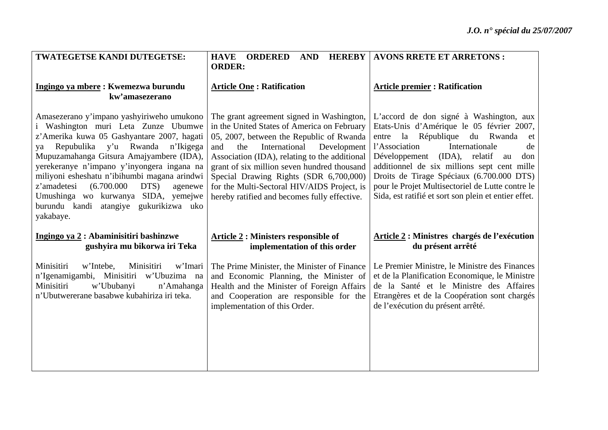| TWATEGETSE KANDI DUTEGETSE:                                                                                                                                                                                                                                                                                                                                                                                                                                         | <b>HAVE ORDERED</b><br><b>AND</b>                                                                                                                                                                                                                                                                                                                                                                                           | <b>HEREBY   AVONS RRETE ET ARRETONS :</b>                                                                                                                                                                                                                                                                                                                                                                                       |
|---------------------------------------------------------------------------------------------------------------------------------------------------------------------------------------------------------------------------------------------------------------------------------------------------------------------------------------------------------------------------------------------------------------------------------------------------------------------|-----------------------------------------------------------------------------------------------------------------------------------------------------------------------------------------------------------------------------------------------------------------------------------------------------------------------------------------------------------------------------------------------------------------------------|---------------------------------------------------------------------------------------------------------------------------------------------------------------------------------------------------------------------------------------------------------------------------------------------------------------------------------------------------------------------------------------------------------------------------------|
| Ingingo ya mbere: Kwemezwa burundu<br>kw'amasezerano                                                                                                                                                                                                                                                                                                                                                                                                                | <b>ORDER:</b><br><b>Article One: Ratification</b>                                                                                                                                                                                                                                                                                                                                                                           | <b>Article premier : Ratification</b>                                                                                                                                                                                                                                                                                                                                                                                           |
| Amasezerano y'impano yashyiriweho umukono<br>i Washington muri Leta Zunze Ubumwe<br>z'Amerika kuwa 05 Gashyantare 2007, hagati<br>Repubulika y'u Rwanda<br>n'Ikigega<br>ya<br>Mupuzamahanga Gitsura Amajyambere (IDA),<br>yerekeranye n'impano y'inyongera ingana na<br>miliyoni esheshatu n'ibihumbi magana arindwi<br>z'amadetesi<br>(6.700.000)<br>DTS)<br>agenewe<br>Umushinga wo kurwanya SIDA, yemejwe<br>burundu kandi atangiye gukurikizwa uko<br>yakabaye. | The grant agreement signed in Washington,<br>in the United States of America on February<br>05, 2007, between the Republic of Rwanda<br>the<br>International<br>Development<br>and<br>Association (IDA), relating to the additional<br>grant of six million seven hundred thousand<br>Special Drawing Rights (SDR 6,700,000)<br>for the Multi-Sectoral HIV/AIDS Project, is<br>hereby ratified and becomes fully effective. | L'accord de don signé à Washington, aux<br>Etats-Unis d'Amérique le 05 février 2007,<br>la République du Rwanda<br>entre<br>et<br>l'Association<br>Internationale<br>de<br>Développement<br>(IDA), relatif<br>don<br>au<br>additionnel de six millions sept cent mille<br>Droits de Tirage Spéciaux (6.700.000 DTS)<br>pour le Projet Multisectoriel de Lutte contre le<br>Sida, est ratifié et sort son plein et entier effet. |
| Ingingo ya 2 : Abaminisitiri bashinzwe<br>gushyira mu bikorwa iri Teka                                                                                                                                                                                                                                                                                                                                                                                              | <b>Article 2: Ministers responsible of</b><br>implementation of this order                                                                                                                                                                                                                                                                                                                                                  | Article 2 : Ministres chargés de l'exécution<br>du présent arrêté                                                                                                                                                                                                                                                                                                                                                               |
| Minisitiri<br>w'Intebe,<br>w'Imari<br>Minisitiri<br>n'Igenamigambi, Minisitiri w'Ubuzima na<br>Minisitiri<br>w'Ububanyi<br>n'Amahanga<br>n'Ubutwererane basabwe kubahiriza iri teka.                                                                                                                                                                                                                                                                                | The Prime Minister, the Minister of Finance<br>and Economic Planning, the Minister of<br>Health and the Minister of Foreign Affairs<br>and Cooperation are responsible for the<br>implementation of this Order.                                                                                                                                                                                                             | Le Premier Ministre, le Ministre des Finances<br>et de la Planification Economique, le Ministre<br>de la Santé et le Ministre des Affaires<br>Etrangères et de la Coopération sont chargés<br>de l'exécution du présent arrêté.                                                                                                                                                                                                 |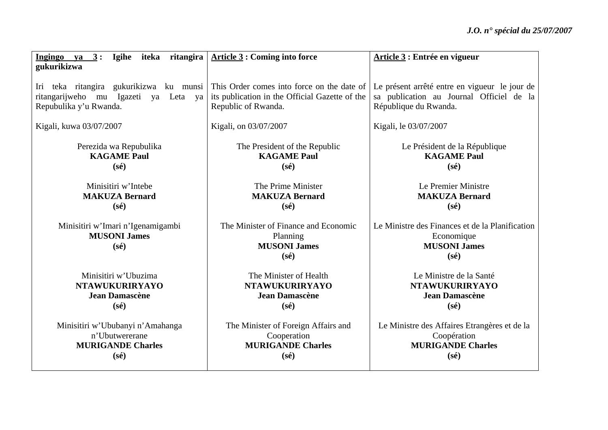| Ingingo ya $3:$ Igihe iteka<br>gukurikizwa | ritangira   Article 3 : Coming into force      | Article 3 : Entrée en vigueur                   |
|--------------------------------------------|------------------------------------------------|-------------------------------------------------|
|                                            |                                                |                                                 |
| Iri teka ritangira gukurikizwa ku munsi    | This Order comes into force on the date of     | Le présent arrêté entre en vigueur le jour de   |
| ritangarijweho mu Igazeti ya Leta ya       | its publication in the Official Gazette of the | sa publication au Journal Officiel de la        |
| Repubulika y'u Rwanda.                     | Republic of Rwanda.                            | République du Rwanda.                           |
| Kigali, kuwa 03/07/2007                    | Kigali, on 03/07/2007                          | Kigali, le 03/07/2007                           |
| Perezida wa Repubulika                     | The President of the Republic                  | Le Président de la République                   |
| <b>KAGAME Paul</b>                         | <b>KAGAME Paul</b>                             | <b>KAGAME Paul</b>                              |
| $(s\acute{e})$                             | $(s\acute{e})$                                 | $(s\acute{e})$                                  |
| Minisitiri w'Intebe                        | The Prime Minister                             | Le Premier Ministre                             |
| <b>MAKUZA Bernard</b>                      | <b>MAKUZA Bernard</b>                          | <b>MAKUZA Bernard</b>                           |
| $(s\acute{e})$                             | $(s\acute{e})$                                 | $(s\acute{e})$                                  |
| Minisitiri w'Imari n'Igenamigambi          | The Minister of Finance and Economic           | Le Ministre des Finances et de la Planification |
| <b>MUSONI James</b>                        | Planning                                       | Economique                                      |
| $(s\acute{e})$                             | <b>MUSONI James</b>                            | <b>MUSONI James</b>                             |
|                                            | $(s\acute{e})$                                 | $(s\acute{e})$                                  |
| Minisitiri w'Ubuzima                       | The Minister of Health                         | Le Ministre de la Santé                         |
| <b>NTAWUKURIRYAYO</b>                      | <b>NTAWUKURIRYAYO</b>                          | <b>NTAWUKURIRYAYO</b>                           |
| <b>Jean Damascène</b>                      | <b>Jean Damascène</b>                          | <b>Jean Damascène</b>                           |
| $(s\acute{e})$                             | $(s\acute{e})$                                 | $(s\acute{e})$                                  |
| Minisitiri w'Ububanyi n'Amahanga           | The Minister of Foreign Affairs and            | Le Ministre des Affaires Etrangères et de la    |
| n'Ubutwererane                             | Cooperation                                    | Coopération                                     |
| <b>MURIGANDE Charles</b>                   | <b>MURIGANDE Charles</b>                       | <b>MURIGANDE Charles</b>                        |
| $(s\acute{e})$                             | $(s\acute{e})$                                 | $(s\acute{e})$                                  |